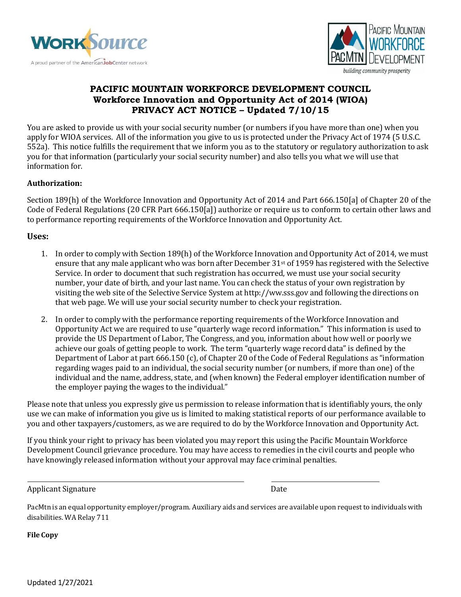



# **PACIFIC MOUNTAIN WORKFORCE DEVELOPMENT COUNCIL Workforce Innovation and Opportunity Act of 2014 (WIOA) PRIVACY ACT NOTICE – Updated 7/10/15**

You are asked to provide us with your social security number (or numbers if you have more than one) when you apply for WIOA services. All of the information you give to us is protected under the Privacy Act of 1974 (5 U.S.C. 552a). This notice fulfills the requirement that we inform you as to the statutory or regulatory authorization to ask you for that information (particularly your social security number) and also tells you what we will use that information for.

#### **Authorization:**

Section 189(h) of the Workforce Innovation and Opportunity Act of 2014 and Part 666.150[a] of Chapter 20 of the Code of Federal Regulations (20 CFR Part 666.150[a]) authorize or require us to conform to certain other laws and to performance reporting requirements of the Workforce Innovation and Opportunity Act.

### **Uses:**

- 1. In order to comply with Section 189(h) of the Workforce Innovation and Opportunity Act of 2014, we must ensure that any male applicant who was born after December  $31<sup>st</sup>$  of 1959 has registered with the Selective Service. In order to document that such registration has occurred, we must use your social security number, your date of birth, and your last name. You can check the status of your own registration by visiting the web site of the Selective Service System at [http://ww.sss.gov](http://ww.sss.gov/) and following the directions on that web page. We will use your social security number to check your registration.
- 2. In order to comply with the performance reporting requirements of the Workforce Innovation and Opportunity Act we are required to use "quarterly wage record information." This information is used to provide the US Department of Labor, The Congress, and you, information about how well or poorly we achieve our goals of getting people to work. The term "quarterly wage record data" is defined by the Department of Labor at part 666.150 (c), of Chapter 20 of the Code of Federal Regulations as "information regarding wages paid to an individual, the social security number (or numbers, if more than one) of the individual and the name, address, state, and (when known) the Federal employer identification number of the employer paying the wages to the individual."

Please note that unless you expressly give us permission to release information that is identifiably yours, the only use we can make of information you give us is limited to making statistical reports of our performance available to you and other taxpayers/customers, as we are required to do by the Workforce Innovation and Opportunity Act.

If you think your right to privacy has been violated you may report this using the Pacific Mountain Workforce Development Council grievance procedure. You may have access to remedies in the civil courts and people who have knowingly released information without your approval may face criminal penalties.

Applicant Signature Date

PacMtn is an equal opportunity employer/program. Auxiliary aids and services are available upon request to individuals with disabilities. WA Relay 711

**File Copy**